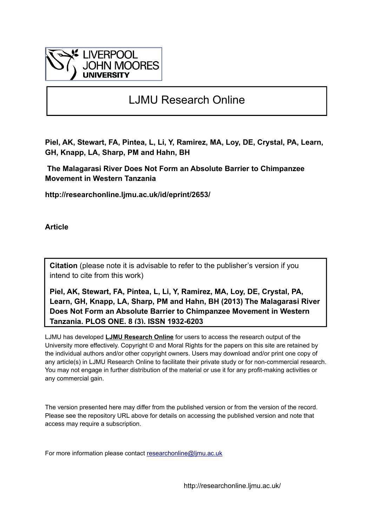

## LJMU Research Online

**Piel, AK, Stewart, FA, Pintea, L, Li, Y, Ramirez, MA, Loy, DE, Crystal, PA, Learn, GH, Knapp, LA, Sharp, PM and Hahn, BH**

 **The Malagarasi River Does Not Form an Absolute Barrier to Chimpanzee Movement in Western Tanzania**

**http://researchonline.ljmu.ac.uk/id/eprint/2653/**

**Article**

**Citation** (please note it is advisable to refer to the publisher's version if you intend to cite from this work)

**Piel, AK, Stewart, FA, Pintea, L, Li, Y, Ramirez, MA, Loy, DE, Crystal, PA, Learn, GH, Knapp, LA, Sharp, PM and Hahn, BH (2013) The Malagarasi River Does Not Form an Absolute Barrier to Chimpanzee Movement in Western Tanzania. PLOS ONE, 8 (3). ISSN 1932-6203** 

LJMU has developed **[LJMU Research Online](http://researchonline.ljmu.ac.uk/)** for users to access the research output of the University more effectively. Copyright © and Moral Rights for the papers on this site are retained by the individual authors and/or other copyright owners. Users may download and/or print one copy of any article(s) in LJMU Research Online to facilitate their private study or for non-commercial research. You may not engage in further distribution of the material or use it for any profit-making activities or any commercial gain.

The version presented here may differ from the published version or from the version of the record. Please see the repository URL above for details on accessing the published version and note that access may require a subscription.

For more information please contact researchonline@limu.ac.uk

http://researchonline.ljmu.ac.uk/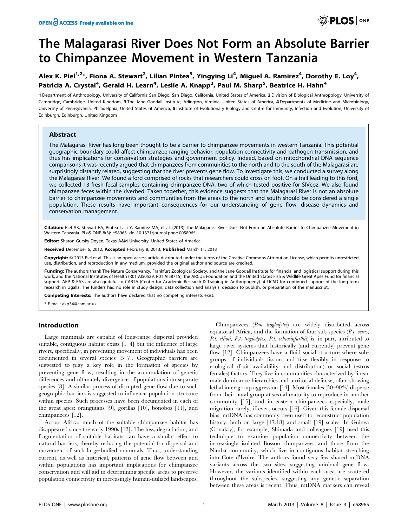# The Malagarasi River Does Not Form an Absolute Barrier to Chimpanzee Movement in Western Tanzania

## Alex K. Piel<sup>1,2</sup>\*, Fiona A. Stewart<sup>2</sup>, Lilian Pintea<sup>3</sup>, Yingying Li<sup>4</sup>, Miguel A. Ramirez<sup>4</sup>, Dorothy E. Loy<sup>4</sup>, Patricia A. Crystal<sup>4</sup>, Gerald H. Learn<sup>4</sup>, Leslie A. Knapp<sup>2</sup>, Paul M. Sharp<sup>5</sup>, Beatrice H. Hahn<sup>4</sup>

1 Department of Anthropology, University of California San Diego, San Diego, California, United States of America, 2 Division of Biological Anthropology, University of Cambridge, Cambridge, United Kingdom, 3 The Jane Goodall Institute, Arlington, Virginia, United States of America, 4 Departments of Medicine and Microbiology, University of Pennsylvania, Philadelphia, United States of America, 5 Institute of Evolutionary Biology and Centre for Immunity, Infection and Evolution, University of Edinburgh, Edinburgh, United Kingdom

## Abstract

The Malagarasi River has long been thought to be a barrier to chimpanzee movements in western Tanzania. This potential geographic boundary could affect chimpanzee ranging behavior, population connectivity and pathogen transmission, and thus has implications for conservation strategies and government policy. Indeed, based on mitochondrial DNA sequence comparisons it was recently argued that chimpanzees from communities to the north and to the south of the Malagarasi are surprisingly distantly related, suggesting that the river prevents gene flow. To investigate this, we conducted a survey along the Malagarasi River. We found a ford comprised of rocks that researchers could cross on foot. On a trail leading to this ford, we collected 13 fresh fecal samples containing chimpanzee DNA, two of which tested positive for SIVcpz. We also found chimpanzee feces within the riverbed. Taken together, this evidence suggests that the Malagarasi River is not an absolute barrier to chimpanzee movements and communities from the areas to the north and south should be considered a single population. These results have important consequences for our understanding of gene flow, disease dynamics and conservation management.

Citation: Piel AK, Stewart FA, Pintea L, Li Y, Ramirez MA, et al. (2013) The Malagarasi River Does Not Form an Absolute Barrier to Chimpanzee Movement in Western Tanzania. PLoS ONE 8(3): e58965. doi:10.1371/journal.pone.0058965

Editor: Sharon Gursky-Doyen, Texas A&M University, United States of America

Received December 6, 2012; Accepted February 8, 2013; Published March 11, 2013

Copyright: © 2013 Piel et al. This is an open-access article distributed under the terms of the Creative Commons Attribution License, which permits unrestricted use, distribution, and reproduction in any medium, provided the original author and source are credited.

Funding: The authors thank The Nature Conservancy, Frankfurt Zoological Society, and the Jane Goodall Institute for financial and logistical support during this work, and the National Institutes of Health (R01 AI50529, R01 AI58715), the ARCUS Foundation and the United States Fish & Wildlife Great Apes Fund for financial support. AKP & FAS are also grateful to CARTA (Center for Academic Research & Training in Anthropogeny) at UCSD for continued support of the long-term research in Ugalla. The funders had no role in study design, data collection and analysis, decision to publish, or preparation of the manuscript.

Competing Interests: The authors have declared that no competing interests exist.

\* E-mail: akp34@cam.ac.uk

## Introduction

Large mammals are capable of long-range dispersal provided suitable, contiguous habitat exists [1–4] but the influence of large rivers, specifically, in preventing movement of individuals has been documented in several species [5–7]. Geographic barriers are suggested to play a key role in the formation of species by preventing gene flow, resulting in the accumulation of genetic differences and ultimately divergence of populations into separate species [8]. A similar process of disrupted gene flow due to such geographic barriers is suggested to influence population structure within species. Such processes have been documented in each of the great apes: orangutans [9], gorillas [10], bonobos [11], and chimpanzees [12].

Across Africa, much of the suitable chimpanzee habitat has disappeared since the early 1990s [13]. The loss, degradation, and fragmentation of suitable habitats can have a similar effect to natural barriers, thereby reducing the potential for dispersal and movement of such large-bodied mammals. Thus, understanding current, as well as historical, patterns of gene flow between and within populations has important implications for chimpanzee conservation and will aid in determining specific areas to preserve population connectivity in increasingly human-utilized landscapes.

Chimpanzees (Pan troglodytes) are widely distributed across equatorial Africa, and the formation of four sub-species (P.t. verus, P.t. ellioti, P.t. troglodytes, P.t. schweinfurthii) is, in part, attributed to large river systems that historically (and currently) prevent gene flow [12]. Chimpanzees have a fluid social structure where subgroups of individuals fission and fuse flexibly in response to ecological (fruit availability and distribution) or social (estrus females) factors. They live in communities characterized by linear male dominance hierarchies and territorial defense, often showing lethal inter-group aggression [14]. Most females (50–90%) disperse from their natal group at sexual maturity to reproduce in another community [15], and in eastern chimpanzees especially, male migration rarely, if ever, occurs [16]. Given this female dispersal bias, mtDNA has commonly been used to reconstruct population history, both on large [17,18] and small [19] scales. In Guinea (Conakry), for example, Shimada and colleagues [19] used this technique to examine population connectivity between the increasingly isolated Bossou chimpanzees and those from the Nimba community, which live in contiguous habitat stretching into Cote d'Ivoire. The authors found very few shared mtDNA variants across the two sites, suggesting minimal gene flow. However, the variants identified within each area are scattered throughout the subspecies, suggesting any genetic separation between these areas is recent. Thus, mtDNA markers can reveal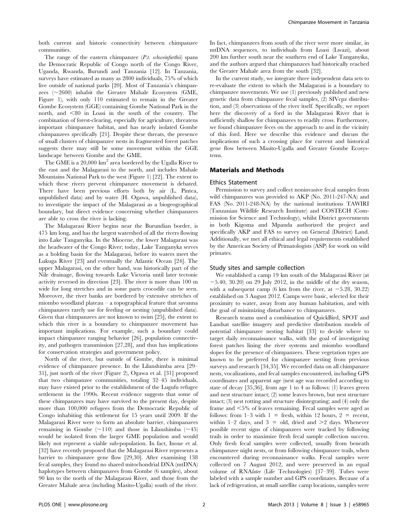both current and historic connectivity between chimpanzee communities.

The range of the eastern chimpanzee  $(P.t.$  schweinfurthii) spans the Democratic Republic of Congo north of the Congo River, Uganda, Rwanda, Burundi and Tanzania [12]. In Tanzania, surveys have estimated as many as 2800 individuals, 75% of which live outside of national parks [20]. Most of Tanzania's chimpanzees  $(\sim 2600)$  inhabit the Greater Mahale Ecosystem (GME, Figure 1), with only 110 estimated to remain in the Greater Gombe Ecosystem (GGE) containing Gombe National Park in the north, and  $\leq 80$  in Loasi in the south of the country. The combination of forest-clearing, especially for agriculture, threatens important chimpanzee habitat, and has nearly isolated Gombe chimpanzees specifically [21]. Despite these threats, the presence of small clusters of chimpanzee nests in fragmented forest patches suggests there may still be some movement within the GGE landscape between Gombe and the GME.

The GME is a 20,000 km<sup>2</sup> area bordered by the Ugalla River to the east and the Malagarasi to the north, and includes Mahale Mountains National Park to the west (Figure 1) [22]. The extent to which these rivers prevent chimpanzee movement is debated. There have been previous efforts both by air (L. Pintea, unpublished data) and by water (H. Ogawa, unpublished data), to investigate the impact of the Malagarasi as a biogeographical boundary, but direct evidence concerning whether chimpanzees are able to cross the river is lacking.

The Malagarasi River begins near the Burundian border, is 475 km long, and has the largest watershed of all the rivers flowing into Lake Tanganyika. In the Miocene, the lower Malagarasi was the headwater of the Congo River; today, Lake Tanganyka serves as a holding basin for the Malagarasi, before its waters meet the Lukuga River [23] and eventually the Atlantic Ocean [24]. The upper Malagarasi, on the other hand, was historically part of the Nile drainage, flowing towards Lake Victoria until later tectonic activity reversed its direction [23]. The river is more than 100 m wide for long stretches and in some parts crocodile can be seen. Moreover, the river banks are bordered by extensive stretches of miombo woodland plateau – a topographical feature that savanna chimpanzees rarely use for feeding or nesting (unpublished data). Given that chimpanzees are not known to swim [25], the extent to which this river is a boundary to chimpanzee movement has important implications. For example, such a boundary could impact chimpanzee ranging behavior [26], population connectivity, and pathogen transmission [27,28], and thus has implications for conservation strategies and government policy.

North of the river, but outside of Gombe, there is minimal evidence of chimpanzee presence. In the Lilanshimba area [29– 31], just north of the river (Figure 2), Ogawa et al. [31] proposed that two chimpanzee communities, totaling 32–45 individuals, may have existed prior to the establishment of the Lugufu refugee settlement in the 1990s. Recent evidence suggests that some of these chimpanzees may have survived to the present day, despite more than 100,000 refugees from the Democratic Republic of Congo inhabiting this settlement for 15 years until 2009. If the Malagarasi River were to form an absolute barrier, chimpanzees remaining in Gombe  $(\sim 110)$  and those in Lilanshimba ( $\sim 45$ ) would be isolated from the larger GME population and would likely not represent a viable sub-population. In fact, Inoue et al. [32] have recently proposed that the Malagarasi River represents a barrier to chimpanzee gene flow [29,30]. After examining 138 fecal samples, they found no shared mitochondrial DNA (mtDNA) haplotypes between chimpanzees from Gombe (6 samples), about 90 km to the north of the Malagarasi River, and those from the Greater Mahale area (including Masito-Ugalla) south of the river.

In fact, chimpanzees from south of the river were more similar, in mtDNA sequences, to individuals from Loasi (Lwazi), about 200 km further south near the southern end of Lake Tanganyika, and the authors argued that chimpanzees had historically reached the Greater Mahale area from the south [32].

In the current study, we integrate three independent data sets to re-evaluate the extent to which the Malagarasi is a boundary to chimpanzee movements. We use (1) previously published and new genetic data from chimpanzee fecal samples, (2) SIVcpz distribution, and (3) observations of the river itself. Specifically, we report here the discovery of a ford in the Malagarasi River that is sufficiently shallow for chimpanzees to readily cross. Furthermore, we found chimpanzee feces on the approach to and in the vicinity of this ford. Here we describe this evidence and discuss the implications of such a crossing place for current and historical gene flow between Masito-Ugalla and Greater Gombe Ecosystems.

### Materials and Methods

#### Ethics Statement

Permission to survey and collect noninvasive fecal samples from wild chimpanzees was provided to AKP (No. 2011-247-NA) and FAS (No. 2011-248-NA) by the national institutions TAWIRI (Tanzanian Wildlife Research Institute) and COSTECH (Commission for Science and Technology), whilst District governments in both Kigoma and Mpanda authorized the project and specifically AKP and FAS to survey on General (District) Land. Additionally, we met all ethical and legal requirements established by the American Society of Primatologists (ASP) for work on wild primates.

#### Study sites and sample collection

We established a camp 19 km south of the Malagarasi River (at  $-5.40$ ,  $30.20$  on  $29$  July  $2012$ , in the middle of the dry season, with a subsequent camp (6 km from the river, at  $-5.28$ , 30.22) established on 3 August 2012. Camps were basic, selected for their proximity to water, away from any human habitation, and with the goal of minimizing disturbance to chimpanzees.

Research teams used a combination of QuickBird, SPOT and Landsat satellite imagery and predictive distribution models of potential chimpanzee nesting habitat [33] to decide where to target daily reconnaissance walks, with the goal of investigating forest patches lining the river systems and miombo woodland slopes for the presence of chimpanzees. These vegetation types are known to be preferred for chimpanzee nesting from previous surveys and research [34,35]. We recorded data on all chimpanzee nests, vocalizations, and fecal samples encountered, including GPS coordinates and apparent age (nest age was recorded according to state of decay [35,36], from age 1 to 4 as follows: (1) leaves green and nest structure intact; (2) some leaves brown, but nest structure intact; (3) nest rotting and structure disintegrating; and (4) only the frame and  $<$  5% of leaves remaining. Fecal samples were aged as follows: from  $1-3$  with  $1 =$  fresh, within 12 hours,  $2 =$  recent, within 1–2 days, and 3 = old, dried and  $\geq$  days. Whenever possible recent signs of chimpanzees were tracked by following trails in order to maximize fresh fecal sample collection success. Only fresh fecal samples were collected, usually from beneath chimpanzee night nests, or from following chimpanzee trails, when encountered during reconnaissance walks. Fecal samples were collected on 7 August 2012, and were preserved in an equal volume of RNAlater (Life Technologies) [37–39]. Tubes were labeled with a sample number and GPS coordinates. Because of a lack of refrigeration, at small satellite camp locations, samples were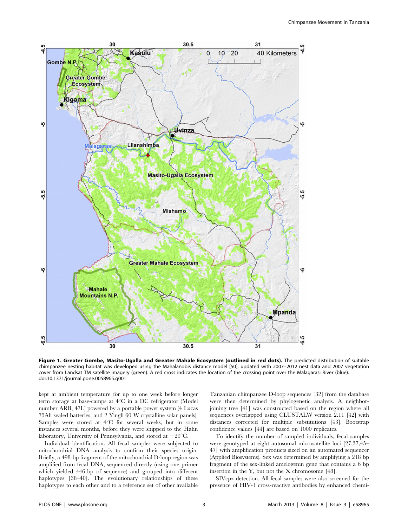

Figure 1. Greater Gombe, Masito-Ugalla and Greater Mahale Ecosystem (outlined in red dots). The predicted distribution of suitable chimpanzee nesting habitat was developed using the Mahalanobis distance model [50], updated with 2007–2012 nest data and 2007 vegetation cover from Landsat TM satellite imagery (green). A red cross indicates the location of the crossing point over the Malagarasi River (blue). doi:10.1371/journal.pone.0058965.g001

kept at ambient temperature for up to one week before longer term storage at base-camps at  $4^{\circ}C$  in a DC refrigerator (Model number ARB, 47L) powered by a portable power system (4 Lucas 75Ah sealed batteries, and 2 Yingli 60 W crystalline solar panels). Samples were stored at  $4^{\circ}C$  for several weeks, but in some instances several months, before they were shipped to the Hahn laboratory, University of Pennsylvania, and stored at  $-20^{\circ}$ C.

Individual identification. All fecal samples were subjected to mitochondrial DNA analysis to confirm their species origin. Briefly, a 498 bp fragment of the mitochondrial D-loop region was amplified from fecal DNA, sequenced directly (using one primer which yielded 446 bp of sequence) and grouped into different haplotypes [38-40]. The evolutionary relationships of these haplotypes to each other and to a reference set of other available Tanzanian chimpanzee D-loop sequences [32] from the database were then determined by phylogenetic analysis. A neighborjoining tree [41] was constructed based on the region where all sequences overlapped using CLUSTALW version 2.11 [42] with distances corrected for multiple substitutions [43]. Bootstrap confidence values [44] are based on 1000 replicates.

To identify the number of sampled individuals, fecal samples were genotyped at eight autosomal microsatellite loci [27,37,45– 47] with amplification products sized on an automated sequencer (Applied Biosystems). Sex was determined by amplifying a 218 bp fragment of the sex-linked amelogenin gene that contains a 6 bp insertion in the Y, but not the X chromosome [48].

SIVcpz detection. All fecal samples were also screened for the presence of HIV-1 cross-reactive antibodies by enhanced chemi-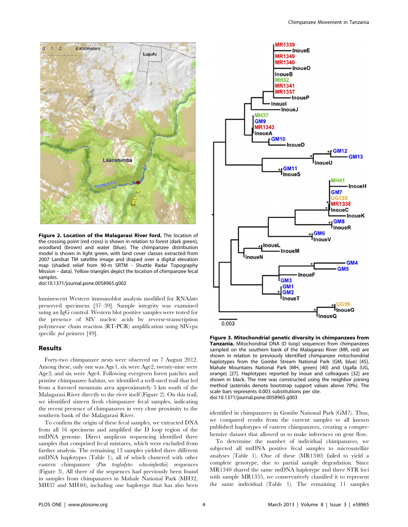

Figure 2. Location of the Malagarasi River ford. The location of the crossing point (red cross) is shown in relation to forest (dark green), woodland (brown) and water (blue). The chimpanzee distribution model is shown in light green, with land cover classes extracted from 2007 Landsat TM satellite image and draped over a digital elevation map (shaded relief from 90-m SRTM - Shuttle Radar Topography Mission – data). Yellow triangles depict the location of chimpanzee fecal samples.

doi:10.1371/journal.pone.0058965.g002

luminescent Western immunoblot analysis modified for RNAlater preserved specimens [37–39]. Sample integrity was examined using an IgG control. Western blot positive samples were tested for the presence of SIV nucleic acids by reverse-transcription polymerase chain reaction (RT-PCR) amplification using SIVcpz specific *pol* primers [49].

#### Results

Forty-two chimpanzee nests were observed on 7 August 2012. Among these, only one was Age1, six were Age2, twenty-nine were Age3, and six were Age4. Following evergreen forest patches and pristine chimpanzee habitat, we identified a well-used trail that led from a forested mountain area approximately 5 km south of the Malagarasi River directly to the river itself (Figure 2). On this trail, we identified sixteen fresh chimpanzee fecal samples, indicating the recent presence of chimpanzees in very close proximity to the southern bank of the Malagarasi River.

To confirm the origin of these fecal samples, we extracted DNA from all 16 specimens and amplified the D loop region of the mtDNA genome. Direct amplicon sequencing identified three samples that comprised fecal mixtures, which were excluded from further analysis. The remaining 13 samples yielded three different mtDNA haplotypes (Table 1), all of which clustered with other eastern chimpanzee (Pan troglodytes schweinfurthii) sequences (Figure 3). All three of the sequences had previously been found in samples from chimpanzees in Mahale National Park (MH32, MH37 and MH40), including one haplotype that has also been



Figure 3. Mitochondrial genetic diversity in chimpanzees from Tanzania. Mitochondrial DNA (D loop) sequences from chimpanzees sampled on the southern bank of the Malagarasi River (MR, red) are shown in relation to previously identified chimpanzee mitochondrial haplotypes from the Gombe Stream National Park (GM, blue) [45], Mahale Mountains National Park (MH, green) [40] and Ugalla (UG, orange) [27]. Haplotypes reported by Inoue and colleagues [32] are shown in black. The tree was constructed using the neighbor joining method (asterisks denote bootstrap support values above 70%). The scale bars represents 0.003 substitutions per site. doi:10.1371/journal.pone.0058965.g003

identified in chimpanzees in Gombe National Park (GM7). Thus, we compared results from the current samples to all known published haplotypes of eastern chimpanzees, creating a comprehensive dataset that allowed us to make inferences on gene flow.

To determine the number of individual chimpanzees, we subjected all mtDNA positive fecal samples to microsatellite analyses (Table 1). One of these (MR1340) failed to yield a complete genotype, due to partial sample degradation. Since MR1340 shared the same mtDNA haplotype and three STR loci with sample MR1355, we conservatively classified it to represent the same individual (Table 1). The remaining 11 samples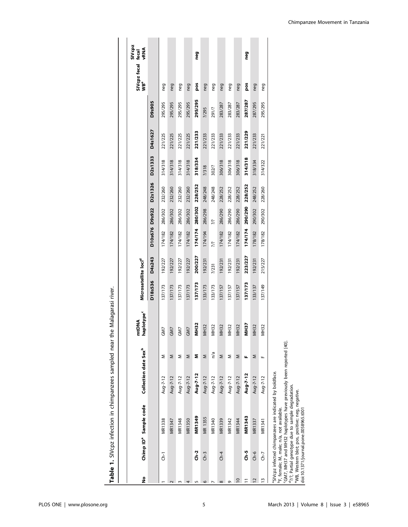| ş               |                                       | Chimp ID <sup>ª</sup> Sample code                                                                                                                                                                                                                                                                                      | Collection date Sex <sup>b</sup> |     | haplotype <sup>c</sup><br>mtDNA | Microsatellite loci <sup>d</sup> |         |                |                         |         |         |         |         | SIVcpz fecal<br>WB <sup>e</sup> | SIVcpz<br><b>VRNA</b><br>fecal |
|-----------------|---------------------------------------|------------------------------------------------------------------------------------------------------------------------------------------------------------------------------------------------------------------------------------------------------------------------------------------------------------------------|----------------------------------|-----|---------------------------------|----------------------------------|---------|----------------|-------------------------|---------|---------|---------|---------|---------------------------------|--------------------------------|
|                 |                                       |                                                                                                                                                                                                                                                                                                                        |                                  |     |                                 | D18s536                          | D4s243  | D10s676 D9s922 |                         | D2s1326 | D2s1333 | D4s1627 | D9s905  |                                 |                                |
|                 | Ch-1                                  | <b>MR1338</b>                                                                                                                                                                                                                                                                                                          | Aug-7-12                         | Σ   | GM7                             | 137/173                          | 192/227 | 174/182        | 286/302                 | 232/260 | 314/318 | 221/225 | 295/295 | neg                             |                                |
|                 |                                       | <b>MR1347</b>                                                                                                                                                                                                                                                                                                          | Aug-7-12                         | Σ   | GM7                             | 137/173                          | 192/227 | 174/182        | 286/302                 | 232/260 | 314/318 | 221/225 | 295/295 | neg                             |                                |
|                 |                                       | MR1348                                                                                                                                                                                                                                                                                                                 | Aug-7-12                         | Σ   | GM7                             | 137/173                          | 192/227 | 174/182        | 286/302                 | 232/260 | 314/318 | 221/225 | 295/295 | neg                             |                                |
|                 |                                       | <b>MR1350</b>                                                                                                                                                                                                                                                                                                          | Aug-7-12                         | Σ   | GM7                             | 137/173                          | 192/227 | 174/182        | 286/302                 | 232/260 | 314/318 | 221/225 | 295/295 | neg                             |                                |
|                 | $Ch-2$                                | MR1349                                                                                                                                                                                                                                                                                                                 | Aug-7-12                         | Σ   | <b>MH32</b>                     | 137/173                          | 200/227 |                | 174/174 280/302         | 228/252 | 318/334 | 221/233 | 295/295 | pos                             | neg                            |
| $\circ$         | $Ch-3$                                | <b>MR 1355</b>                                                                                                                                                                                                                                                                                                         | Aug-7-12                         | Σ   | <b>MH32</b>                     | 133/173                          | 192/231 | 174/194        | 286/298                 | 248/248 | ?/318   | 221/233 | ?/295   | neg                             |                                |
|                 |                                       | MR1340                                                                                                                                                                                                                                                                                                                 | Aug-7-12                         | n/a | MH32                            | 133/173                          | ?/231   | i/i            | ijі                     | 248/248 | 302/?   | 221/233 | 291/?   | neg                             |                                |
| $\infty$        | $Ch-4$                                | <b>MR1339</b>                                                                                                                                                                                                                                                                                                          | Aug-7-12                         | Σ   | <b>MH32</b>                     | 137/157                          | 192/231 | 174/182        | 286/290                 | 228/252 | 306/318 | 221/233 | 283/287 | neg                             |                                |
| Ō               |                                       | MR1342                                                                                                                                                                                                                                                                                                                 | Aug-7-12                         | Σ   | MH32                            | 137/157                          | 192/231 | 174/182        | 286/290                 | 228/252 | 306/318 | 221/233 | 283/287 | neg                             |                                |
| $\overline{a}$  |                                       | MR1344                                                                                                                                                                                                                                                                                                                 | Aug-7-12                         | Σ   | <b>MH32</b>                     | 137/157                          | 192/231 | 174/182        | 286/290                 | 228/252 | 306/318 | 221/233 | 283/287 | neg                             |                                |
|                 | Ch-5                                  | MR1343                                                                                                                                                                                                                                                                                                                 | Aug-7-12                         | щ   | <b>MH37</b>                     | 137/173                          | 223/227 |                | 174/174 290/290 228/252 |         | 314/318 | 221/229 | 287/287 | pos                             | neg                            |
| $\mathbf{\sim}$ | $Ch-6$                                | MR1337                                                                                                                                                                                                                                                                                                                 | Aug-7-12                         | Σ   | <b>MH32</b>                     | 133/137                          | 192/231 | 178/182        | 290/302                 | 248/252 | 318/334 | 221/233 | 287/295 | neg                             |                                |
| $\tilde{1}$     | $Ch-7$                                | MR1341                                                                                                                                                                                                                                                                                                                 | Aug-7-12                         | Щ   | MH32                            | 137/149                          | 215/227 | 178/182        | 290/302                 | 228/260 | 314/322 | 221/221 | 295/295 | neg                             |                                |
|                 | doi:10.1371/journal.pone.0058965.t001 | "GM7, MH37 and MH32 haplotypes have previously been reported [40].<br><sup>a</sup> SIVcpz infected chimpanzees are indicated by boldface.<br><sup>d</sup> ?/?, Partial genotype due to sample degradation.<br>"WB, Western blot; pos, positive; neg, negative.<br><sup>b</sup> F, female; M, male; n/a, not available. |                                  |     |                                 |                                  |         |                |                         |         |         |         |         |                                 |                                |

Table 1. SIVcpz infection in chimpanzees sampled near the Malagarasi river. Table 1. SIVcpz infection in chimpanzees sampled near the Malagarasi river.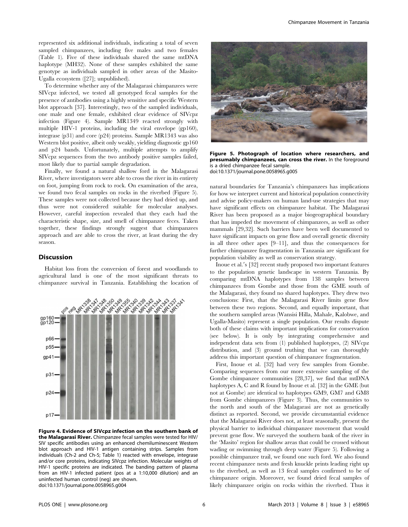Ugalla ecosystem ([27]; unpublished). To determine whether any of the Malagarasi chimpanzees were SIVcpz infected, we tested all genotyped fecal samples for the presence of antibodies using a highly sensitive and specific Western blot approach [37]. Interestingly, two of the sampled individuals, one male and one female, exhibited clear evidence of SIVcpz infection (Figure 4). Sample MR1349 reacted strongly with multiple HIV-1 proteins, including the viral envelope (gp160), integrase (p31) and core (p24) proteins. Sample MR1343 was also Western blot positive, albeit only weakly, yielding diagnostic gp160 and p24 bands. Unfortunately, multiple attempts to amplify SIVcpz sequences from the two antibody positive samples failed, most likely due to partial sample degradation.

Finally, we found a natural shallow ford in the Malagarasi River, where investigators were able to cross the river in its entirety on foot, jumping from rock to rock. On examination of the area, we found two fecal samples on rocks in the riverbed (Figure 5). These samples were not collected because they had dried up, and thus were not considered suitable for molecular analyses. However, careful inspection revealed that they each had the characteristic shape, size, and smell of chimpanzee feces. Taken together, these findings strongly suggest that chimpanzees approach and are able to cross the river, at least during the dry season.

## Discussion

Habitat loss from the conversion of forest and woodlands to agricultural land is one of the most significant threats to chimpanzee survival in Tanzania. Establishing the location of



Figure 4. Evidence of SIVcpz infection on the southern bank of the Malagarasi River. Chimpanzee fecal samples were tested for HIV/ SIV specific antibodies using an enhanced chemiluminescent Western blot approach and HIV-1 antigen containing strips. Samples from individuals (Ch-2 and Ch-5; Table 1) reacted with envelope, integrase and/or core proteins, indicating SIVcpz infection. Molecular weights of HIV-1 specific proteins are indicated. The banding pattern of plasma from an HIV-1 infected patient (pos at a 1:10,000 dilution) and an uninfected human control (neg) are shown. doi:10.1371/journal.pone.0058965.g004



Figure 5. Photograph of location where researchers, and presumably chimpanzees, can cross the river. In the foreground is a dried chimpanzee fecal sample. doi:10.1371/journal.pone.0058965.g005

natural boundaries for Tanzania's chimpanzees has implications for how we interpret current and historical population connectivity and advise policy-makers on human land-use strategies that may have significant effects on chimpanzee habitat. The Malagarasi River has been proposed as a major biogeographical boundary that has impeded the movement of chimpanzees, as well as other mammals [29,32]. Such barriers have been well documented to have significant impacts on gene flow and overall genetic diversity in all three other apes [9–11], and thus the consequences for further chimpanzee fragmentation in Tanzania are significant for population viability as well as conservation strategy.

Inoue et al.'s [32] recent study proposed two important features to the population genetic landscape in western Tanzania. By comparing mtDNA haplotypes from 138 samples between chimpanzees from Gombe and those from the GME south of the Malagarasi, they found no shared haplotypes. They drew two conclusions: First, that the Malagarasi River limits gene flow between these two regions. Second, and equally important, that the southern sampled areas (Wansisi Hilla, Mahale, Kalobwe, and Ugalla-Masito) represent a single population. Our results dispute both of these claims with important implications for conservation (see below). It is only by integrating comprehensive and independent data sets from (1) published haplotypes, (2) SIVcpz distribution, and (3) ground truthing that we can thoroughly address this important question of chimpanzee fragmentation.

First, Inoue et al. [32] had very few samples from Gombe. Comparing sequences from our more extensive sampling of the Gombe chimpanzee communities [28,37], we find that mtDNA haplotypes A, C and R found by Inoue et al. [32] in the GME (but not at Gombe) are identical to haplotypes GM9, GM7 and GM8 from Gombe chimpanzees (Figure 3). Thus, the communities to the north and south of the Malagarasi are not as genetically distinct as reported. Second, we provide circumstantial evidence that the Malagarasi River does not, at least seasonally, present the physical barrier to individual chimpanzee movement that would prevent gene flow. We surveyed the southern bank of the river in the 'Masito' region for shallow areas that could be crossed without wading or swimming through deep water (Figure 5). Following a possible chimpanzee trail, we found one such ford. We also found recent chimpanzee nests and fresh knuckle prints leading right up to the riverbed, as well as 13 fecal samples confirmed to be of chimpanzee origin. Moreover, we found dried fecal samples of likely chimpanzee origin on rocks within the riverbed. Thus it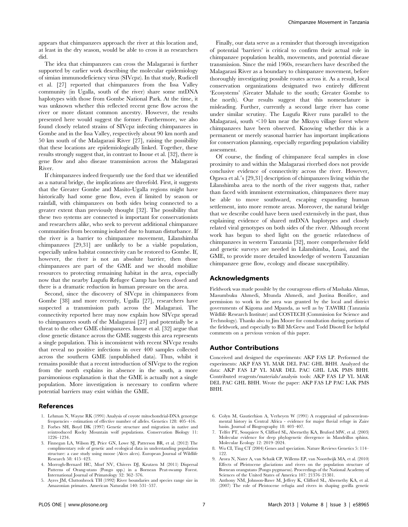appears that chimpanzees approach the river at this location and, at least in the dry season, would be able to cross it as researchers did.

The idea that chimpanzees can cross the Malagarasi is further supported by earlier work describing the molecular epidemiology of simian immunodeficiency virus (SIVcpz). In that study, Rudicell et al. [27] reported that chimpanzees from the Issa Valley community (in Ugalla, south of the river) share some mtDNA haplotypes with those from Gombe National Park. At the time, it was unknown whether this reflected recent gene flow across the river or more distant common ancestry. However, the results presented here would suggest the former. Furthermore, we also found closely related strains of SIVcpz infecting chimpanzees in Gombe and in the Issa Valley, respectively about 90 km north and 50 km south of the Malagarasi River [27], raising the possibility that these locations are epidemiologically linked. Together, these results strongly suggest that, in contrast to Inoue et al. [32], there is gene flow and also disease transmission across the Malagarasi River.

If chimpanzees indeed frequently use the ford that we identified as a natural bridge, the implications are threefold. First, it suggests that the Greater Gombe and Masito-Ugalla regions might have historically had some gene flow, even if limited by season or rainfall, with chimpanzees on both sides being connected to a greater extent than previously thought [32]. The possibility that these two systems are connected is important for conservationists and researchers alike, who seek to prevent additional chimpanzee communities from becoming isolated due to human disturbance. If the river is a barrier to chimpanzee movement, Lilanshimba chimpanzees [29,31] are unlikely to be a viable population, especially unless habitat connectivity can be restored to Gombe. If, however, the river is not an absolute barrier, then those chimpanzees are part of the GME and we should mobilize resources to protecting remaining habitat in the area, especially now that the nearby Lugufu Refugee Camp has been closed and there is a dramatic reduction in human pressure on the area.

Second, since the discovery of SIVcpz in chimpanzees from Gombe [38] and more recently, Ugalla [27], researchers have suspected a transmission path across the Malagarasi. The connectivity reported here may now explain how SIVcpz spread to chimpanzees south of the Malagarasi [27] and potentially be a threat to the other GME chimpanzees. Inoue et al. [32] argue that close genetic distance across the GME suggests this area represents a single population. This is inconsistent with recent SIVcpz results that reveal no positive infections in over 400 samples collected across the southern GME (unpublished data). Thus, whilst it remains possible that a recent introduction of SIVcpz to the region from the north explains its absence in the south, a more parsimonious explanation is that the GME is actually not a single population. More investigation is necessary to confirm where potential barriers may exist within the GME.

#### References

- 1. Lehman N, Wayne RK (1991) Analysis of coyote mitochondrial-DNA genotype frequencies - estimation of effective number of alleles. Genetics 128: 405–416.
- 2. Forbes SH, Boyd DK (1997) Genetic structure and migration in native and reintroduced Rocky Mountain wolf populations. Conservation Biology 11: 1226–1234.
- 3. Finnegan LA, Wilson PJ, Price GN, Lowe SJ, Patterson BR, et al. (2012) The complimentary role of genetic and ecological data in understanding population structure: a case study using moose (Alces alces). European Journal of Wildlife Research 58: 415–423.
- 4. Morrogh-Bernard HC, Morf NV, Chivers DJ, Krutzen M (2011) Dispersal Patterns of Orang-utans (Pongo spp.) in a Bornean Peat-swamp Forest. International Journal of Primatology 32: 362–376.
- 5. Ayres JM, Cluttonbrock TH (1992) River boundaries and species range size in Amazonian primates. American Naturalist 140: 531–537.

Finally, our data serve as a reminder that thorough investigation of potential 'barriers' is critical to confirm their actual role in chimpanzee population health, movements, and potential disease transmission. Since the mid 1960s, researchers have described the Malagarasi River as a boundary to chimpanzee movement, before thoroughly investigating possible routes across it. As a result, local conservation organizations designated two entirely different 'Ecosystems' (Greater Mahale to the south; Greater Gombe to the north). Our results suggest that this nomenclature is misleading. Further, currently a second large river has come under similar scrutiny. The Lugufu River runs parallel to the Malagarasi, south  $\leq 10$  km near the Mkuyu village forest where chimpanzees have been observed. Knowing whether this is a permanent or merely seasonal barrier has important implications for conservation planning, especially regarding population viability assessment.

Of course, the finding of chimpanzee fecal samples in close proximity to and within the Malagarasi riverbed does not provide conclusive evidence of connectivity across the river. However, Ogawa et al.'s [29,31] description of chimpanzees living within the Lilanshimba area to the north of the river suggests that, rather than faced with imminent extermination, chimpanzees there may be able to move southward, escaping expanding human settlement, into more remote areas. Moreover, the natural bridge that we describe could have been used extensively in the past, thus explaining evidence of shared mtDNA haplotypes and closely related viral genotypes on both sides of the river. Although recent work has begun to shed light on the genetic relatedness of chimpanzees in western Tanzania [32], more comprehensive field and genetic surveys are needed in Lilanshimba, Loasi, and the GME, to provide more detailed knowledge of western Tanzanian chimpanzee gene flow, ecology and disease susceptibility.

### Acknowledgments

Fieldwork was made possible by the courageous efforts of Mashaka Alimas, Masumbuku Ahmedi, Mtunda Ahmedi, and Justina Bonifice, and permission to work in the area was granted by the local and district governments of Kigoma and Mpanda, as well as by TAWIRI (Tanzania Wildlife Research Institute) and COSTECH (Commission for Science and Technology). Thanks also to Jim Moore for consultation during portions of the fieldwork, and especially to Bill McGrew and Todd Disotell for helpful comments on a previous version of this paper.

## Author Contributions

Conceived and designed the experiments: AKP FAS LP. Performed the experiments: AKP FAS YL MAR DEL PAC GHL BHH. Analyzed the data: AKP FAS LP YL MAR DEL PAC GHL LAK PMS BHH. Contributed reagents/materials/analysis tools: AKP FAS LP YL MAR DEL PAC GHL BHH. Wrote the paper: AKP FAS LP PAC LAK PMS BHH.

- 6. Colyn M, Gautierhion A, Verheyen W (1991) A reappraisal of paleoenvironmental history in Central Africa - evidence for major fluvial refuge in Zaire basin. Journal of Biogeography 18: 403–407.
- 7. Telfer PT, Souquiere S, Clifford SL, Abernethy KA, Bruford MW, et al. (2003) Molecular evidence for deep phylogenetic divergence in Mandrillus sphinx. Molecular Ecology 12: 2019–2024.
- 8. Wu CI, Ting CT (2004) Genes and speciation. Nature Reviews Genetics 5: 114– 122.
- 9. Arora N, Nater A, van Schaik CP, Willems EP, van Noordwijk MA, et al. (2010) Effects of Pleistocene glaciations and rivers on the population structure of Bornean orangutans (Pongo pygmaeus). Proceedings of the National Academy of Sciences of the United States of America 107: 21376–21381.
- 10. Anthony NM, Johnson-Bawe M, Jeffery K, Clifford SL, Abernethy KA, et al. (2007) The role of Pleistocene refugia and rivers in shaping gorilla genetic